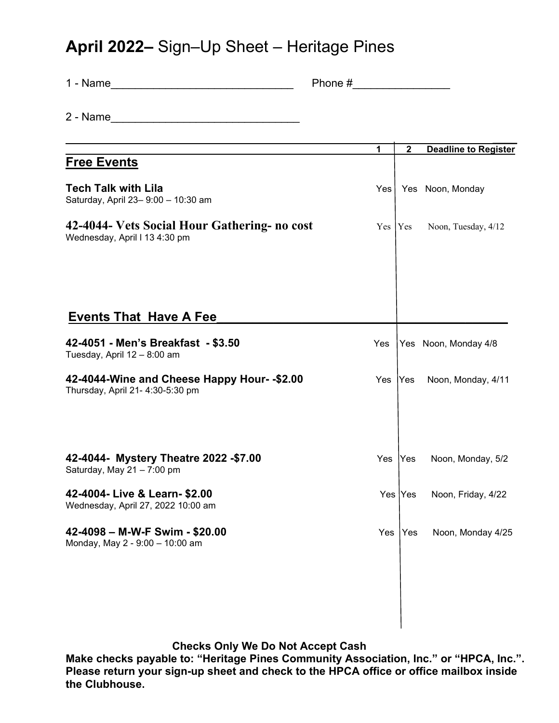## **April 2022–** Sign–Up Sheet – Heritage Pines

| 1 - Name                                                                                                                                                                                                                      | Phone $#$ |           |              |                             |
|-------------------------------------------------------------------------------------------------------------------------------------------------------------------------------------------------------------------------------|-----------|-----------|--------------|-----------------------------|
|                                                                                                                                                                                                                               |           |           |              |                             |
| the control of the control of the control of the control of the control of the control of the control of the control of the control of the control of the control of the control of the control of the control of the control |           | 1         | $\mathbf{2}$ | <b>Deadline to Register</b> |
| <b>Free Events</b>                                                                                                                                                                                                            |           |           |              |                             |
| <b>Tech Talk with Lila</b><br>Saturday, April 23-9:00 - 10:30 am                                                                                                                                                              |           | Yes l     |              | Yes Noon, Monday            |
| 42-4044- Vets Social Hour Gathering- no cost<br>Wednesday, April I 13 4:30 pm                                                                                                                                                 |           | Yes   Yes |              | Noon, Tuesday, 4/12         |
| <b>Events That Have A Fee</b>                                                                                                                                                                                                 |           |           |              |                             |
| 42-4051 - Men's Breakfast - \$3.50<br>Tuesday, April 12 - 8:00 am                                                                                                                                                             |           | Yes       |              | Yes Noon, Monday 4/8        |
| 42-4044-Wine and Cheese Happy Hour- - \$2.00<br>Thursday, April 21- 4:30-5:30 pm                                                                                                                                              |           | Yes       | Yes          | Noon, Monday, 4/11          |
|                                                                                                                                                                                                                               |           |           |              |                             |
| 42-4044- Mystery Theatre 2022 - \$7.00<br>Saturday, May 21 - 7:00 pm                                                                                                                                                          |           | Yes       | Yes          | Noon, Monday, 5/2           |
| 42-4004- Live & Learn- \$2.00<br>Wednesday, April 27, 2022 10:00 am                                                                                                                                                           |           |           | Yes  Yes     | Noon, Friday, 4/22          |
| 42-4098 - M-W-F Swim - \$20.00<br>Monday, May 2 - 9:00 - 10:00 am                                                                                                                                                             |           | Yes       | Yes          | Noon, Monday 4/25           |
|                                                                                                                                                                                                                               |           |           |              |                             |
|                                                                                                                                                                                                                               |           |           |              |                             |

## **Checks Only We Do Not Accept Cash**

**Make checks payable to: "Heritage Pines Community Association, Inc." or "HPCA, Inc.". Please return your sign-up sheet and check to the HPCA office or office mailbox inside the Clubhouse.**